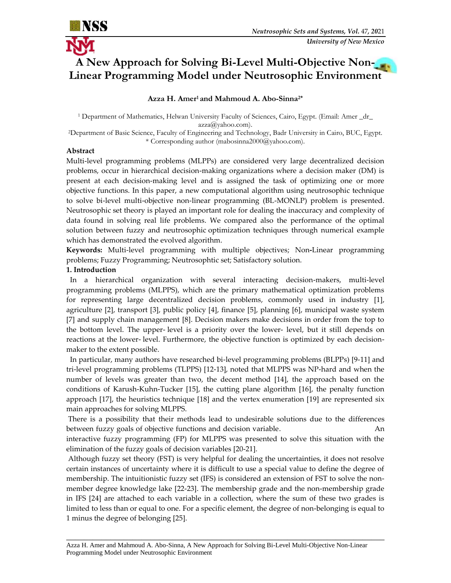

# **A New Approach for Solving Bi-Level Multi-Objective Non-Linear Programming Model under Neutrosophic Environment**

# **Azza H. Amer <sup>1</sup> and Mahmoud A. Abo-Sinna2\***

<sup>1</sup> Department of Mathematics, Helwan University Faculty of Sciences, Cairo, Egypt. (Email: Amer \_dr\_ [azza@yahoo.com\)](mailto:azza@yahoo.com).

<sup>2</sup>Department of Basic Science, Faculty of Engineering and Technology, Badr University in Cairo, BUC, Egypt. \* Corresponding author (mabosinna2000@yahoo.com).

## **Abstract**

Multi-level programming problems (MLPPs) are considered very large decentralized decision problems, occur in hierarchical decision-making organizations where a decision maker (DM) is present at each decision-making level and is assigned the task of optimizing one or more objective functions. In this paper, a new computational algorithm using neutrosophic technique to solve bi-level multi-objective non-linear programming (BL-MONLP) problem is presented. Neutrosophic set theory is played an important role for dealing the inaccuracy and complexity of data found in solving real life problems. We compared also the performance of the optimal solution between fuzzy and neutrosophic optimization techniques through numerical example which has demonstrated the evolved algorithm.

**Keywords:** Multi-level programming with multiple objectives; Non**-**Linear programming problems; Fuzzy Programming; Neutrosophtic set; Satisfactory solution.

## **1. Introduction**

 In a hierarchical organization with several interacting decision-makers, multi-level programming problems (MLPPS), which are the primary mathematical optimization problems for representing large decentralized decision problems, commonly used in industry [1], agriculture [2], transport [3], public policy [4], finance [5], planning [6], municipal waste system [7] and supply chain management [8]. Decision makers make decisions in order from the top to the bottom level. The upper- level is a priority over the lower- level, but it still depends on reactions at the lower- level. Furthermore, the objective function is optimized by each decisionmaker to the extent possible.

 In particular, many authors have researched bi-level programming problems (BLPPs) [9-11] and tri-level programming problems (TLPPS) [12-13], noted that MLPPS was NP-hard and when the number of levels was greater than two, the decent method [14], the approach based on the conditions of Karush-Kuhn-Tucker [15], the cutting plane algorithm [16], the penalty function approach [17], the heuristics technique [18] and the vertex enumeration [19] are represented six main approaches for solving MLPPS.

There is a possibility that their methods lead to undesirable solutions due to the differences between fuzzy goals of objective functions and decision variable.

interactive fuzzy programming (FP) for MLPPS was presented to solve this situation with the elimination of the fuzzy goals of decision variables [20-21].

Although fuzzy set theory (FST) is very helpful for dealing the uncertainties, it does not resolve certain instances of uncertainty where it is difficult to use a special value to define the degree of membership. The intuitionistic fuzzy set (IFS) is considered an extension of FST to solve the nonmember degree knowledge lake [22-23]. The membership grade and the non-membership grade in IFS [24] are attached to each variable in a collection, where the sum of these two grades is limited to less than or equal to one. For a specific element, the degree of non-belonging is equal to 1 minus the degree of belonging [25].

\_\_\_\_\_\_\_\_\_\_\_\_\_\_\_\_\_\_\_\_\_\_\_\_\_\_\_\_\_\_\_\_\_\_\_\_\_\_\_\_\_\_\_\_\_\_\_\_\_\_\_\_\_\_\_\_\_\_\_\_\_\_\_\_\_\_\_\_\_\_\_\_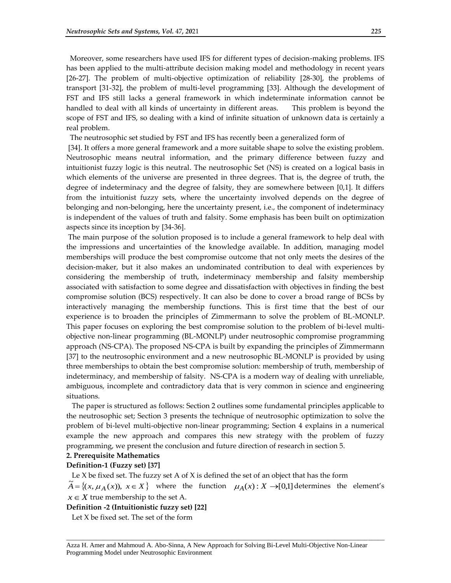Moreover, some researchers have used IFS for different types of decision-making problems. IFS has been applied to the multi-attribute decision making model and methodology in recent years [26-27]. The problem of multi-objective optimization of reliability [28-30], the problems of transport [31-32], the problem of multi-level programming [33]. Although the development of FST and IFS still lacks a general framework in which indeterminate information cannot be handled to deal with all kinds of uncertainty in different areas. This problem is beyond the scope of FST and IFS, so dealing with a kind of infinite situation of unknown data is certainly a real problem.

The neutrosophic set studied by FST and IFS has recently been a generalized form of

[34]. It offers a more general framework and a more suitable shape to solve the existing problem. Neutrosophic means neutral information, and the primary difference between fuzzy and intuitionist fuzzy logic is this neutral. The neutrosophic Set (NS) is created on a logical basis in which elements of the universe are presented in three degrees. That is, the degree of truth, the degree of indeterminacy and the degree of falsity, they are somewhere between [0,1]. It differs from the intuitionist fuzzy sets, where the uncertainty involved depends on the degree of belonging and non-belonging, here the uncertainty present, i.e., the component of indeterminacy is independent of the values of truth and falsity. Some emphasis has been built on optimization aspects since its inception by [34-36].

The main purpose of the solution proposed is to include a general framework to help deal with the impressions and uncertainties of the knowledge available. In addition, managing model memberships will produce the best compromise outcome that not only meets the desires of the decision-maker, but it also makes an undominated contribution to deal with experiences by considering the membership of truth, indeterminacy membership and falsity membership associated with satisfaction to some degree and dissatisfaction with objectives in finding the best compromise solution (BCS) respectively. It can also be done to cover a broad range of BCSs by interactively managing the membership functions. This is first time that the best of our experience is to broaden the principles of Zimmermann to solve the problem of BL-MONLP. This paper focuses on exploring the best compromise solution to the problem of bi-level multiobjective non-linear programming (BL-MONLP) under neutrosophic compromise programming approach (NS-CPA). The proposed NS-CPA is built by expanding the principles of Zimmermann [37] to the neutrosophic environment and a new neutrosophic BL-MONLP is provided by using three memberships to obtain the best compromise solution: membership of truth, membership of indeterminacy, and membership of falsity. NS-CPA is a modern way of dealing with unreliable, ambiguous, incomplete and contradictory data that is very common in science and engineering situations.

 The paper is structured as follows: Section 2 outlines some fundamental principles applicable to the neutrosophic set; Section 3 presents the technique of neutrosophic optimization to solve the problem of bi-level multi-objective non-linear programming; Section 4 explains in a numerical example the new approach and compares this new strategy with the problem of fuzzy programming, we present the conclusion and future direction of research in section 5.

#### **2. Prerequisite Mathematics**

#### **Definition-1 (Fuzzy set) [37]**

Le X be fixed set. The fuzzy set A of X is defined the set of an object that has the form

 $\tilde{A} = \{(x, \mu_A(x)), x \in X\}$  where the function  $\mu_A(x) : X \rightarrow [0,1]$  determines the element's  $x \in X$  true membership to the set A.

\_\_\_\_\_\_\_\_\_\_\_\_\_\_\_\_\_\_\_\_\_\_\_\_\_\_\_\_\_\_\_\_\_\_\_\_\_\_\_\_\_\_\_\_\_\_\_\_\_\_\_\_\_\_\_\_\_\_\_\_\_\_\_\_\_\_\_\_\_\_\_\_\_\_\_\_\_\_\_\_\_\_\_\_\_\_\_\_\_\_\_\_\_\_\_\_

**Definition -2 (Intuitionistic fuzzy set) [22]**

Let X be fixed set. The set of the form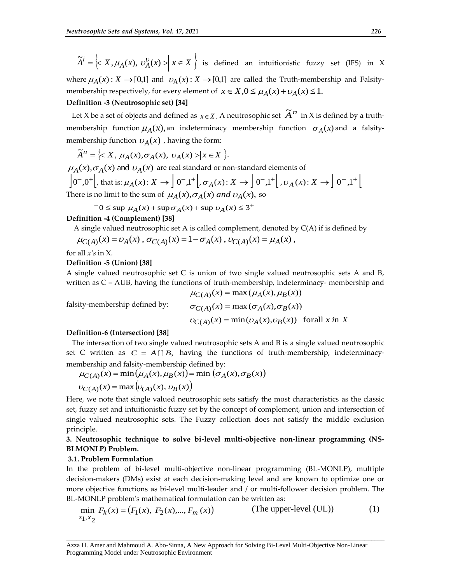$\widetilde{A}^i = \left\{ X, \mu_A(x), v_A^0(x) \right\} \times \left\{ x \in X \right\}$  is defined an intuitionistic fuzzy set (IFS) in X where  $\mu_A(x)$ :  $X \to [0,1]$  and  $\nu_A(x)$ :  $X \to [0,1]$  are called the Truth-membership and Falsitymembership respectively, for every element of  $x \in X, 0 \leq \mu_A(x) + \nu_A(x) \leq 1$ .

#### **Definition -3 (Neutrosophic set) [34]**

Let *X* be a set of objects and defined as  $x \in X$ . A neutrosophic set  $\widetilde{A}^n$  in *X* is defined by a truthmembership function  $\mu_A(x)$ , an indeterminacy membership function  $\sigma_A(x)$  and a falsitymembership function  $\nu_A(x)$  , having the form:

$$
\widetilde{A}^n = \left\{ \langle X, \mu_A(x), \sigma_A(x), \nu_A(x) \rangle \big| x \in X \right\}.
$$

 $\mu_A(x), \sigma_A(x)$  and  $\nu_A(x)$  are real standard or non-standard elements of  $\left[0^-,0^+\right]$ , that is:  $\mu_A(x): X \to \left[0^-,1^+\right]$ ,  $\sigma_A(x): X \to \left[0^-,1^+\right]$ ,  $\mu_A(x): X \to \left[0^-,1^+\right]$ . There is no limit to the sum of  $\mu_A(x), \sigma_A(x)$  *and*  $\nu_A(x)$ , so

$$
0 \le \sup \mu_A(x) + \sup \sigma_A(x) + \sup \nu_A(x) \le 3^+
$$

### **Definition -4 (Complement) [38]**

A single valued neutrosophic set A is called complement, denoted by  $C(A)$  if is defined by  $\mu_{C(A)}(x) = \nu_A(x)$ ,  $\sigma_{C(A)}(x) = 1 - \sigma_A(x)$ ,  $\nu_{C(A)}(x) = \mu_A(x)$ ,

for all *x's* in X.

#### **Definition -5 (Union) [38]**

A single valued neutrosophic set C is union of two single valued neutrosophic sets A and B, written as C = AUB, having the functions of truth-membership, indeterminacy- membership and  $\mu_{C(A)}(x) = \max(\mu_A(x), \mu_B(x))$ 

falsity-membership defined by:

$$
\sigma_{C(A)}(x) = \max(\sigma_A(x), \sigma_B(x))
$$
  

$$
\upsilon_{C(A)}(x) = \min(\upsilon_A(x), \upsilon_B(x)) \text{ for all } x \text{ in } X
$$

#### **Definition-6 (Intersection) [38]**

 The intersection of two single valued neutrosophic sets A and B is a single valued neutrosophic set C written as  $C = A \cap B$ , having the functions of truth-membership, indeterminacymembership and falsity-membership defined by:

$$
\mu_{C(A)}(x) = \min(\mu_A(x), \mu_B(x)) = \min(\sigma_A(x), \sigma_B(x))
$$
  

$$
\nu_{C(A)}(x) = \max(\nu_{(A)}(x), \nu_B(x))
$$

Here, we note that single valued neutrosophic sets satisfy the most characteristics as the classic set, fuzzy set and intuitionistic fuzzy set by the concept of complement, union and intersection of single valued neutrosophic sets. The Fuzzy collection does not satisfy the middle exclusion principle.

## **3. Neutrosophic technique to solve bi-level multi-objective non-linear programming (NS-BLMONLP) Problem.**

#### **3.1. Problem Formulation**

In the problem of bi-level multi-objective non-linear programming (BL-MONLP), multiple decision-makers (DMs) exist at each decision-making level and are known to optimize one or more objective functions as bi-level multi-leader and / or multi-follower decision problem. The BL-MONLP problem's mathematical formulation can be written as:

$$
\min_{x_1, x_2} F_k(x) = (F_1(x), F_2(x), \dots, F_m(x))
$$
 (The upper-level (UL)) (1)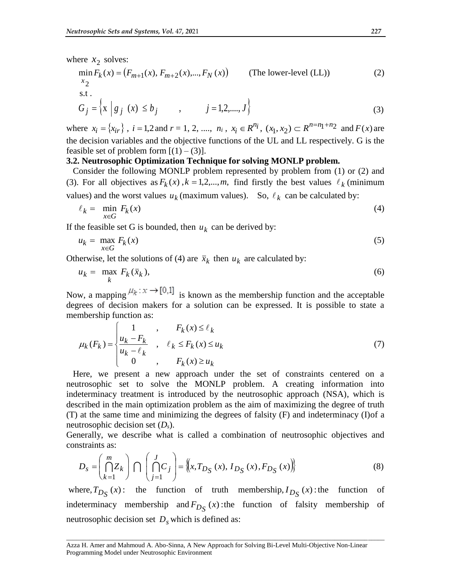where  $x_2$  solves:

$$
\min_{x_2} F_k(x) = (F_{m+1}(x), F_{m+2}(x),..., F_N(x))
$$
 (The lower-level (LL)) (2)  
s.t.

$$
G_j = \left\{ \mathbf{x} \middle| g_j \ (\mathbf{x}) \le b_j \right\} \qquad , \qquad j = 1, 2, \dots, J \right\} \tag{3}
$$

where  $x_i = \{x_{ir}\}\$ ,  $i = 1, 2$  and  $r = 1, 2, \dots, n_i$ ,  $x_i \in R^{n_i}$ ,  $(x_1, x_2) \subset R^{n=n_1+n_2}$  and  $F(x)$  are the decision variables and the objective functions of the UL and LL respectively. G is the feasible set of problem form  $[(1) - (3)]$ .

# **3.2. Neutrosophic Optimization Technique for solving MONLP problem.**

 Consider the following MONLP problem represented by problem from (1) or (2) and (3). For all objectives as  $F_k(x)$ ,  $k = 1, 2, \dots, m$ , find firstly the best values  $\ell_k$  (minimum values) and the worst values  $u_k$  (maximum values). So,  $\ell_k$  can be calculated by:

$$
\ell_k = \min_{x \in G} F_k(x) \tag{4}
$$

If the feasible set G is bounded, then  $u_k$  can be derived by:

$$
u_k = \max_{x \in G} F_k(x) \tag{5}
$$

Otherwise, let the solutions of (4) are  $\bar{x}_k$  then  $u_k$  are calculated by:

$$
u_k = \max_k F_k(\bar{x}_k), \tag{6}
$$

Now, a mapping  $\mu_k : x \to [0,1]$  is known as the membership function and the acceptable degrees of decision makers for a solution can be expressed. It is possible to state a membership function as:

$$
\mu_k(F_k) = \begin{cases}\n1 & , & F_k(x) \le \ell_k \\
\frac{u_k - F_k}{u_k - \ell_k} & , & \ell_k \le F_k(x) \le u_k \\
0 & , & F_k(x) \ge u_k\n\end{cases}
$$
\n(7)

 Here, we present a new approach under the set of constraints centered on a neutrosophic set to solve the MONLP problem. A creating information into indeterminacy treatment is introduced by the neutrosophic approach (NSA), which is described in the main optimization problem as the aim of maximizing the degree of truth (T) at the same time and minimizing the degrees of falsity (F) and indeterminacy (I)of a neutrosophic decision set (*Ds*).

Generally, we describe what is called a combination of neutrosophic objectives and constraints as:

$$
D_{s} = \left(\bigcap_{k=1}^{m} Z_{k}\right) \bigcap \left(\bigcap_{j=1}^{J} C_{j}\right) = \left\langle x, T_{D_{S}}\left(x\right), I_{D_{S}}\left(x\right), F_{D_{S}}\left(x\right)\right\rangle\right\}
$$
(8)

where,  $T_{D_S}(x)$ : the function of truth membership,  $I_{D_S}(x)$ : the function of indeterminacy membership and  $F_{D_S}(x)$ : the function of falsity membership of neutrosophic decision set *Ds* which is defined as: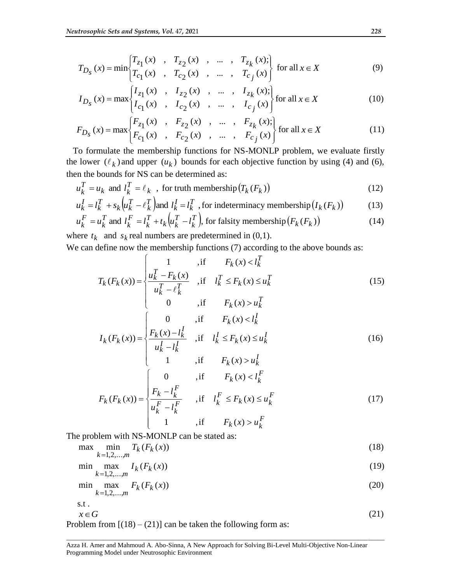$$
T_{D_S}(x) = \min \begin{cases} T_{z_1}(x) & , T_{z_2}(x) & , \dots, T_{z_k}(x); \\ T_{c_1}(x) & , T_{c_2}(x) & , \dots, T_{c_j}(x) \end{cases} \text{ for all } x \in X \tag{9}
$$

$$
I_{D_{S}}(x) = \max \begin{cases} I_{z_{1}}(x) & , I_{z_{2}}(x) , ..., I_{z_{k}}(x); \\ I_{c_{1}}(x) , I_{c_{2}}(x) , ..., I_{c_{j}}(x) \end{cases} \text{ for all } x \in X
$$
 (10)

$$
F_{D_S}(x) = \max \begin{cases} F_{z_1}(x) & , F_{z_2}(x) , ..., F_{z_k}(x); \\ F_{c_1}(x) & , F_{c_2}(x) , ..., F_{c_j}(x) \end{cases} \text{ for all } x \in X
$$
 (11)

 To formulate the membership functions for NS-MONLP problem, we evaluate firstly the lower  $(\ell_k)$  and upper  $(u_k)$  bounds for each objective function by using (4) and (6), then the bounds for NS can be determined as:

$$
u_k^T = u_k \text{ and } l_k^T = \ell_k \text{ , for truth membership } (T_k(F_k))
$$
 (12)

$$
u_k^I = l_k^T + s_k \left( u_k^T - \ell_k^T \right) \text{ and } l_k^I = l_k^T \text{, for indeterminacy membership } (I_k(F_k))
$$
\n
$$
F = \begin{bmatrix} T & 1 & F \\ 0 & T & F \end{bmatrix} \begin{bmatrix} T & T \\ 0 & T & F \end{bmatrix} \text{ and } \begin{bmatrix} T & T \\ 0 & T & F \end{bmatrix}
$$
\n
$$
(13)
$$

$$
u_k^F = u_k^T \text{ and } l_k^F = l_k^T + t_k \left( u_k^T - l_k^T \right), \text{ for falsity membership} \left( F_k(F_k) \right)
$$
\nwhere  $t$  and  $s$  real numbers are predetermined in (0.1).

where  $t_k$  and  $s_k$  real numbers are predetermined in (0,1). We can define now the membership functions (7) according to the above bounds as:

$$
T_k(F_k(x)) = \begin{cases} 1 & , \text{if } F_k(x) < l_k^T \\ \frac{u_k^T - F_k(x)}{u_k^T - \ell_k^T} & , \text{if } l_k^T \le F_k(x) \le u_k^T \end{cases} \tag{15}
$$

$$
I_{k}(F_{k}(x)) = \begin{cases} \n0 & \text{, if } F_{k}(x) > u_{k}^{T} \\ \n0 & \text{, if } F_{k}(x) < l_{k}^{T} \\ \n\frac{F_{k}(x) - l_{k}^{T}}{u_{k}^{T} - l_{k}^{T}} & \text{, if } l_{k}^{T} \leq F_{k}(x) \leq u_{k}^{T} \\ \n1 & \text{, if } F_{k}(x) > u_{k}^{T} \n\end{cases}
$$
\n(16)

$$
F_k(F_k(x)) = \begin{cases} 0 & ,\text{if } F_k(x) < l_k^F \\ \frac{F_k - l_k^F}{u_k^F - l_k^F} & ,\text{if } l_k^F \le F_k(x) \le u_k^F \\ 1 & ,\text{if } F_k(x) > u_k^F \end{cases} \tag{17}
$$

The problem with NS-MONLP can be stated as:

$$
\max \min_{k=1,2,...,m} T_k(F_k(x))
$$
\n(18)

$$
\min \max_{k} I_k(F_k(x)) \tag{19}
$$

$$
k=1,2,...,m
$$
  
min max max  $F_k(F_k(x))$   
 $k=1,2,...,m$  (20)

$$
s.t.\\
$$

$$
x \in G \tag{21}
$$

\_\_\_\_\_\_\_\_\_\_\_\_\_\_\_\_\_\_\_\_\_\_\_\_\_\_\_\_\_\_\_\_\_\_\_\_\_\_\_\_\_\_\_\_\_\_\_\_\_\_\_\_\_\_\_\_\_\_\_\_\_\_\_\_\_\_\_\_\_\_\_\_\_\_\_\_\_\_\_\_\_\_\_\_\_\_\_\_\_\_\_\_\_\_\_\_

Problem from  $[(18) - (21)]$  can be taken the following form as: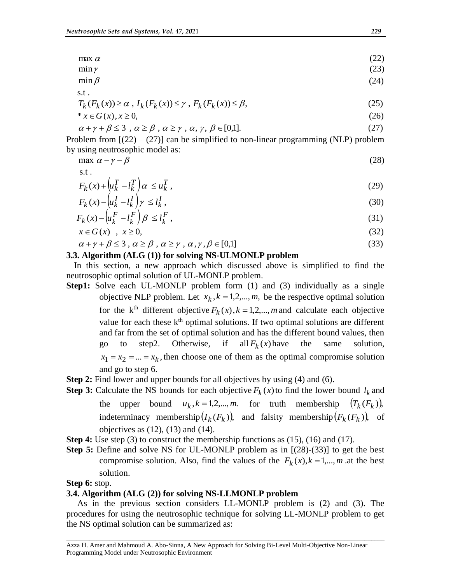$$
\max_{\alpha} \alpha \tag{22}
$$

$$
\min \gamma \tag{23}
$$

$$
\min \beta \tag{24}
$$

$$
T_k(F_k(x)) \ge \alpha, I_k(F_k(x)) \le \gamma, F_k(F_k(x)) \le \beta,
$$
\n<sup>(25)</sup>

$$
* x \in G(x), x \ge 0,
$$
\n
$$
(26)
$$

$$
\alpha + \gamma + \beta \le 3 \, , \, \alpha \ge \beta \, , \, \alpha \ge \gamma \, , \, \alpha, \, \gamma, \, \beta \in [0,1]. \tag{27}
$$

Problem from  $[(22) - (27)]$  can be simplified to non-linear programming (NLP) problem by using neutrosophic model as:

$$
\max \alpha - \gamma - \beta \tag{28}
$$

$$
\qquad \qquad \text{s.t.}
$$

 $\circ$  +

$$
F_k(x) + \left(u_k^T - l_k^T\right)\alpha \le u_k^T,
$$
\n(29)

$$
F_k(x) - \left(u_k^I - l_k^I\right)\gamma \le l_k^I\,,\tag{30}
$$

$$
F_k(x) - \left(u_k^F - l_k^F\right)\beta \le l_k^F\,,\tag{31}
$$

$$
x \in G(x) \quad , \quad x \ge 0,
$$
\n<sup>(32)</sup>

$$
\alpha + \gamma + \beta \le 3 \,, \, \alpha \ge \beta \,, \, \alpha \ge \gamma \,, \, \alpha \,, \gamma \,, \beta \in [0,1] \tag{33}
$$

# **3.3. Algorithm (ALG (1)) for solving NS-ULMONLP problem**

In this section, a new approach which discussed above is simplified to find the neutrosophic optimal solution of UL-MONLP problem.

- **Step1:** Solve each UL-MONLP problem form (1) and (3) individually as a single objective NLP problem. Let  $x_k$ ,  $k = 1, 2, \dots, m$ , be the respective optimal solution for the k<sup>th</sup> different objective  $F_k(x)$ ,  $k = 1, 2, \dots, m$  and calculate each objective value for each these  $k<sup>th</sup>$  optimal solutions. If two optimal solutions are different and far from the set of optimal solution and has the different bound values, then go to step2. Otherwise, if all  $F_k(x)$  have the same solution,  $x_1 = x_2 = ... = x_k$ , then choose one of them as the optimal compromise solution and go to step 6.
- **Step 2:** Find lower and upper bounds for all objectives by using (4) and (6).
- **Step 3:** Calculate the NS bounds for each objective  $F_k(x)$  to find the lower bound  $l_k$  and the upper bound  $u_k$ ,  $k = 1, 2, \dots, m$ . for truth membership  $(T_k(F_k))$ , indeterminacy membership $(I_k(F_k))$ , and falsity membership $(F_k(F_k))$ , of objectives as  $(12)$ ,  $(13)$  and  $(14)$ .
- **Step 4:** Use step (3) to construct the membership functions as (15), (16) and (17).
- **Step 5:** Define and solve NS for UL-MONLP problem as in [(28)-(33)] to get the best compromise solution. Also, find the values of the  $F_k(x)$ ,  $k = 1,..., m$  at the best solution.

# **Step 6:** stop.

# **3.4. Algorithm (ALG (2)) for solving NS-LLMONLP problem**

 As in the previous section considers LL-MONLP problem is (2) and (3). The procedures for using the neutrosophic technique for solving LL-MONLP problem to get the NS optimal solution can be summarized as: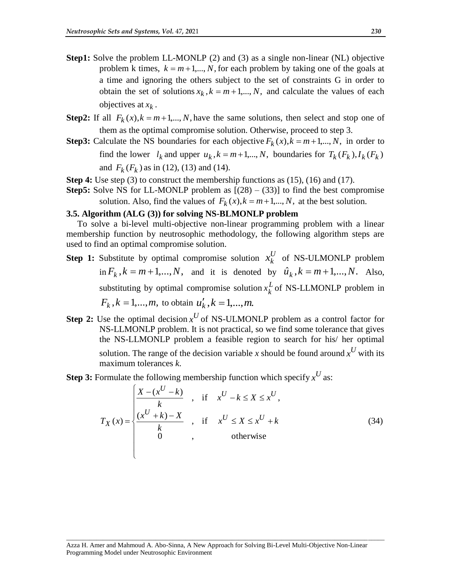- **Step1:** Solve the problem LL-MONLP (2) and (3) as a single non-linear (NL) objective problem k times,  $k = m+1,..., N$ , for each problem by taking one of the goals at a time and ignoring the others subject to the set of constraints G in order to obtain the set of solutions  $x_k$ ,  $k = m + 1, ..., N$ , and calculate the values of each objectives at  $x_k$ .
- **Step2:** If all  $F_k(x)$ , $k = m+1,..., N$ , have the same solutions, then select and stop one of them as the optimal compromise solution. Otherwise, proceed to step 3.
- **Step3:** Calculate the NS boundaries for each objective  $F_k(x)$ ,  $k = m+1,..., N$ , in order to find the lower  $l_k$  and upper  $u_k$ ,  $k = m+1,..., N$ , boundaries for  $T_k$   $(F_k)$ ,  $I_k$   $(F_k)$ and  $F_k(F_k)$  as in (12), (13) and (14).
- **Step 4:** Use step (3) to construct the membership functions as (15), (16) and (17).
- **Step5:** Solve NS for LL-MONLP problem as  $[(28) (33)]$  to find the best compromise solution. Also, find the values of  $F_k(x)$ ,  $k = m+1,..., N$ , at the best solution.

# **3.5. Algorithm (ALG (3)) for solving NS-BLMONLP problem**

 To solve a bi-level multi-objective non-linear programming problem with a linear membership function by neutrosophic methodology, the following algorithm steps are used to find an optimal compromise solution.

- **Step 1:** Substitute by optimal compromise solution  $x_k^U$  $x_k^U$  of NS-ULMONLP problem in  $F_k$ ,  $k = m+1,...,N$ , and it is denoted by  $\hat{u}_k$ ,  $k = m+1,...,N$ . Also, substituting by optimal compromise solution  $x_k^L$  $x_k^L$  of NS-LLMONLP problem in  $F_k$ ,  $k = 1,...,m$ , to obtain  $u'_k$ ,  $k = 1,...,m$ .
- **Step 2:** Use the optimal decision  $x^U$  of NS-ULMONLP problem as a control factor for NS-LLMONLP problem. It is not practical, so we find some tolerance that gives the NS-LLMONLP problem a feasible region to search for his/ her optimal solution. The range of the decision variable *x* should be found around  $x^U$  with its maximum tolerances *k*.
- **Step 3:** Formulate the following membership function which specify  $x^U$  as:

$$
T_X(x) = \begin{cases} \frac{X - (x^U - k)}{k} , & \text{if } x^U - k \le X \le x^U, \\ \frac{(x^U + k) - X}{k} , & \text{if } x^U \le X \le x^U + k \\ 0 , & \text{otherwise} \end{cases}
$$
(34)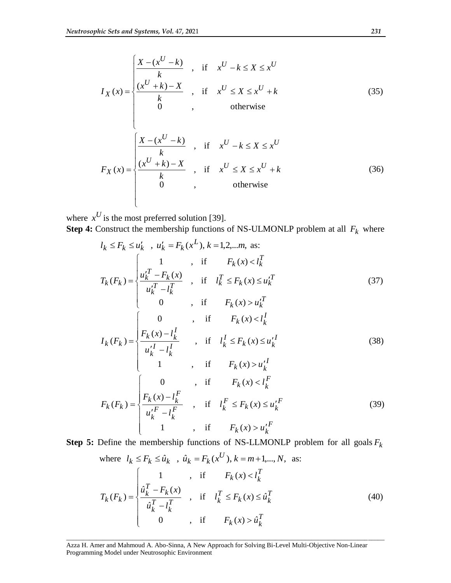$$
I_X(x) = \begin{cases} \frac{X - (x^U - k)}{k} , & \text{if } x^U - k \le X \le x^U \\ \frac{(x^U + k) - X}{k} , & \text{if } x^U \le X \le x^U + k \\ 0 , & \text{otherwise} \end{cases}
$$
(35)  

$$
F_X(x) = \begin{cases} \frac{X - (x^U - k)}{k} , & \text{if } x^U - k \le X \le x^U \\ \frac{(x^U + k) - X}{k} , & \text{if } x^U \le X \le x^U + k \\ 0 , & \text{otherwise} \end{cases}
$$
(36)

where  $x^U$  is the most preferred solution [39]. **Step 4:** Construct the membership functions of NS-ULMONLP problem at all  $F_k$  where

$$
l_{k} \leq F_{k} \leq u_{k}^{'} , u_{k}^{'} = F_{k}(x^{L}), k = 1, 2, ..., m, \text{ as:}
$$
\n
$$
T_{k}(F_{k}) = \begin{cases}\n1 & , \text{ if } F_{k}(x) < l_{k}^{T} \\
\frac{u_{k}^{T} - F_{k}(x)}{u_{k}^{T} - l_{k}^{T}} & , \text{ if } l_{k}^{T} \leq F_{k}(x) \leq u_{k}^{T} \\
0 & , \text{ if } F_{k}(x) > u_{k}^{T}\n\end{cases} \qquad (37)
$$
\n
$$
I_{k}(F_{k}) = \begin{cases}\n0 & , \text{ if } F_{k}(x) < l_{k}^{I} \\
\frac{F_{k}(x) - l_{k}^{I}}{u_{k}^{I} - l_{k}^{I}} & , \text{ if } l_{k}^{I} \leq F_{k}(x) \leq u_{k}^{I} \\
1 & , \text{ if } F_{k}(x) > u_{k}^{I}\n\end{cases} \qquad (38)
$$
\n
$$
F_{k}(F_{k}) = \begin{cases}\n0 & , \text{ if } F_{k}(x) < l_{k}^{F} \\
\frac{F_{k}(x) - I_{k}^{F}}{u_{k}^{F} - l_{k}^{F}} & , \text{ if } l_{k}^{F} \leq F_{k}(x) \leq u_{k}^{F} \\
1 & , \text{ if } F_{k}(x) > u_{k}^{I}\n\end{cases} \qquad (39)
$$

**Step 5:** Define the membership functions of NS-LLMONLP problem for all goals *Fk* where  $l_k \le F_k \le \hat{u}_k$ ,  $\hat{u}_k = F_k(x^U), k = m+1,..., N$ , as:  $\left| \right|$  $\left\lceil \right\rceil$  $\lt$ *T T*  $F_k(x) < l_k^I$ 1, if  $F_k(x)$ 

$$
T_k(F_k) = \begin{cases} \frac{\hat{u}_k^T - F_k(x)}{\hat{u}_k^T - l_k^T} & , & \text{if } l_k^T \le F_k(x) \le \hat{u}_k^T\\ 0 & , & \text{if } F_k(x) > \hat{u}_k^T \end{cases}
$$
(40)

Azza H. Amer and Mahmoud A. Abo-Sinna, A New Approach for Solving Bi-Level Multi-Objective Non-Linear Programming Model under Neutrosophic Environment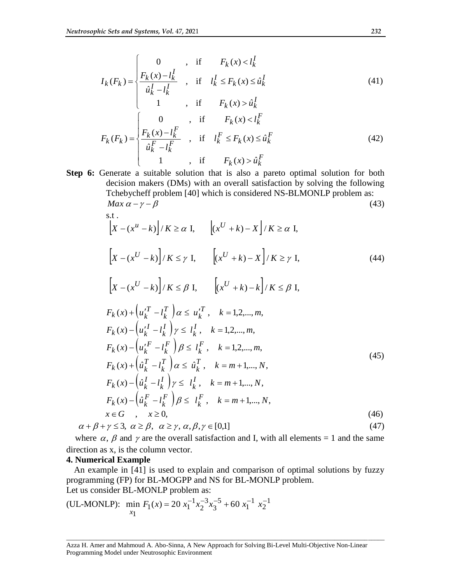$$
I_{k}(F_{k}) = \begin{cases} 0 & , \text{ if } F_{k}(x) < l_{k}^{I} \\ \frac{F_{k}(x) - l_{k}^{I}}{\hat{u}_{k}^{I} - l_{k}^{I}} & , \text{ if } l_{k}^{I} \leq F_{k}(x) \leq \hat{u}_{k}^{I} \end{cases} \tag{41}
$$

$$
F_k(F_k) = \begin{cases} 1 & , \text{ if } F_k(x) > \hat{u}_k^I \\ \frac{F_k(x) - l_k^F}{\hat{u}_k^F - l_k^F} & , \text{ if } l_k^F \le F_k(x) \le \hat{u}_k^F \\ 1 & , \text{ if } F_k(x) > \hat{u}_k^F \end{cases}
$$
(42)

**Step 6:** Generate a suitable solution that is also a pareto optimal solution for both decision makers (DMs) with an overall satisfaction by solving the following Tchebycheff problem [40] which is considered NS-BLMONLP problem as:  $\text{Max } \alpha - \gamma - \beta$  (43)

s.t.  
\n
$$
\left[X - (x^u - k)\right] / K \ge \alpha \text{ I}, \quad \left[(x^U + k) - X\right] / K \ge \alpha \text{ I},
$$
\n
$$
\left[X - (x^U - k)\right] / K \le \gamma \text{ I}, \quad \left[(x^U + k) - X\right] / K \ge \gamma \text{ I}, \quad (44)
$$
\n
$$
\left[X - (x^U - k)\right] / K \le \beta \text{ I}, \quad \left[(x^U + k) - k\right] / K \le \beta \text{ I},
$$
\n
$$
F_k(x) + \left(u_k^T - l_k^T\right) \alpha \le u_k^T, \quad k = 1, 2, \dots, m,
$$
\n
$$
F_k(x) - \left(u_k^U - l_k^L\right) \gamma \le l_k^I, \quad k = 1, 2, \dots, m,
$$
\n
$$
F_k(x) - \left(u_k^F - l_k^F\right) \beta \le l_k^F, \quad k = 1, 2, \dots, m,
$$
\n
$$
F_k(x) + \left(\hat{u}_k^T - l_k^T\right) \alpha \le \hat{u}_k^T, \quad k = m + 1, \dots, N,
$$
\n
$$
F_k(x) - \left(\hat{u}_k^I - l_k^I\right) \gamma \le l_k^I, \quad k = m + 1, \dots, N,
$$
\n
$$
F_k(x) - \left(\hat{u}_k^F - l_k^F\right) \beta \le l_k^F, \quad k = m + 1, \dots, N,
$$
\n
$$
x \in G, \quad x \ge 0,
$$
\n(46)

 $\alpha + \beta + \gamma \leq 3, \ \alpha \geq \beta, \ \alpha \geq \gamma, \alpha, \beta, \gamma \in [0,1]$  (47)

where  $\alpha$ ,  $\beta$  and  $\gamma$  are the overall satisfaction and I, with all elements = 1 and the same direction as x, is the column vector.

# **4. Numerical Example**

An example in [41] is used to explain and comparison of optimal solutions by fuzzy programming (FP) for BL-MOGPP and NS for BL-MONLP problem. Let us consider BL-MONLP problem as:

(UL-MONLP): min 
$$
F_1(x) = 20 x_1^{-1} x_2^{-3} x_3^{-5} + 60 x_1^{-1} x_2^{-1}
$$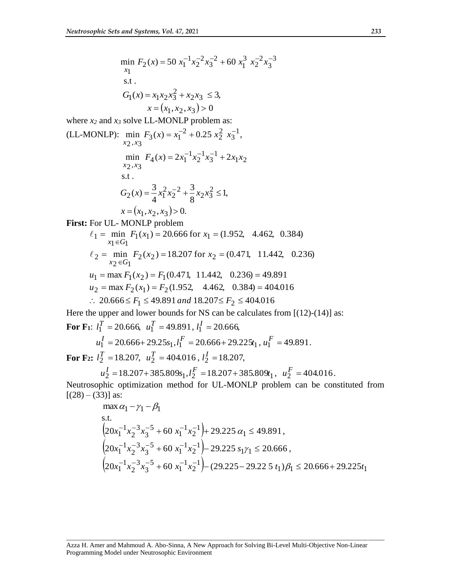$$
\min F_2(x) = 50 x_1^{-1} x_2^{-2} x_3^{-2} + 60 x_1^3 x_2^{-2} x_3^{-3}
$$
\n  
\n
$$
x_1
$$
\n  
\n
$$
G_1(x) = x_1 x_2 x_3^2 + x_2 x_3 \le 3,
$$
\n
$$
x = (x_1, x_2, x_3) > 0
$$
\nwhere  $x_2$  and  $x_3$  solve LL-MONLP problem as:  
\n
$$
(LL-MONLP): \min F_3(x) = x_1^{-2} + 0.25 x_2^2 x_3^{-1},
$$
\n
$$
\min F_4(x) = 2x_1^{-1} x_2^{-1} x_3^{-1} + 2x_1 x_2
$$
\n
$$
x_2, x_3
$$
\n
$$
G_2(x) = \frac{3}{4} x_1^2 x_2^{-2} + \frac{3}{8} x_2 x_3^2 \le 1,
$$
\n
$$
x = (x_1, x_2, x_3) > 0.
$$
\nFirst: For UL-MONLP problem  
\n
$$
\ell_1 = \min F_1(x_1) = 20.666 \text{ for } x_1 = (1.952, 4.462, 0.384)
$$
\n
$$
\ell_2 = \min F_1(x_1) = 20.666 \text{ for } x_1 = (1.952, 4.462, 0.384)
$$
\n
$$
\ell_2 = \min F_2(x_2) = 18.207 \text{ for } x_2 = (0.471, 11.442, 0.236)
$$
\n
$$
u_1 = \max F_1(x_2) = F_1(0.471, 11.442, 0.236) = 49.891
$$
\n
$$
u_2 = \max F_2(x_1) = F_2(1.952, 4.462, 0.384) = 404.016
$$
\n
$$
\therefore 20.666 \le F_1 \le 49.891 \text{ and } 18.207 \le F_2 \le 404.016
$$
\nHere the upper and lower bounds for NS can be calculates from [(12)-(14)] as:  
\nFor F1:  $l_1^T$ 

$$
u_1^I = 20.666 + 29.25s_1, l_1^F = 20.666 + 29.225t_1, u_1^F = 49.891.
$$

**For F<sub>2</sub>:**  $l_2^T = 18.207$ ,  $u_2^T = 404.016$ ,  $l_2^I = 18.207$ ,

$$
u_2^I
$$
 = 18.207+385.809s<sub>1</sub>,  $l_2^F$  = 18.207+385.809t<sub>1</sub>,  $u_2^F$  = 404.016.  
resophic optimization method for UL-MONLP problem can be constitut

zation method for UL-MONLP problem can be constituted from Neutrosophic op<br>[ $(28) - (33)$ ] as:

$$
\max \alpha_1 - \gamma_1 - \beta_1
$$
\ns.t.  
\n
$$
\left(20x_1^{-1}x_2^{-3}x_3^{-5} + 60x_1^{-1}x_2^{-1}\right) + 29.225 \alpha_1 \le 49.891,
$$
\n
$$
\left(20x_1^{-1}x_2^{-3}x_3^{-5} + 60x_1^{-1}x_2^{-1}\right) - 29.225 s_1\gamma_1 \le 20.666,
$$
\n
$$
\left(20x_1^{-1}x_2^{-3}x_3^{-5} + 60x_1^{-1}x_2^{-1}\right) - (29.225 - 29.225 t_1)\beta_1 \le 20.666 + 29.225 t_1
$$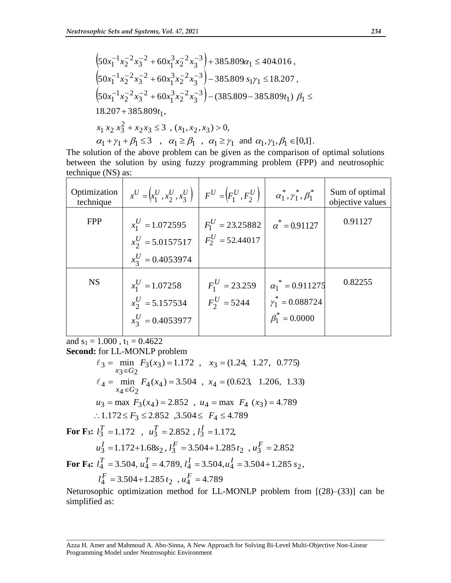$$
\begin{aligned}\n&\left(50x_1^{-1}x_2^{-2}x_3^{-2} + 60x_1^3x_2^{-2}x_3^{-3}\right) + 385.809\alpha_1 \le 404.016, \\
&\left(50x_1^{-1}x_2^{-2}x_3^{-2} + 60x_1^3x_2^{-2}x_3^{-3}\right) - 385.809 s_1\gamma_1 \le 18.207, \\
&\left(50x_1^{-1}x_2^{-2}x_3^{-2} + 60x_1^3x_2^{-2}x_3^{-3}\right) - (385.809 - 385.809t_1) \beta_1 \le 18.207 + 385.809t_1, \\
&x_1 x_2 x_3^2 + x_2 x_3 \le 3 \ , \ (x_1, x_2, x_3) > 0, \\
&\alpha_1 + \gamma_1 + \beta_1 \le 3 \ , \ \ \alpha_1 \ge \beta_1 \ , \ \alpha_1 \ge \gamma_1 \ \text{and} \ \alpha_1, \gamma_1, \beta_1 \in [0,1].\n\end{aligned}
$$

The solution of the above problem can be given as the comparison of optimal solutions between the solution by using fuzzy programming problem (FPP) and neutrosophic technique (NS) as:

| Optimization<br>technique | $x^U = (x_1^U, x_2^U, x_3^U)$ $F^U = (F_1^U, F_2^U)$ |                    | $\alpha_1^*, \gamma_1^*, \beta_1^*$ | Sum of optimal<br>objective values |
|---------------------------|------------------------------------------------------|--------------------|-------------------------------------|------------------------------------|
| <b>FPP</b>                | $x_1^U = 1.072595$                                   | $F_1^U = 23.25882$ | $\alpha^* = 0.91127$                | 0.91127                            |
|                           | $x_2^U = 5.0157517$                                  | $F_2^U = 52.44017$ |                                     |                                    |
|                           | $x_2^U = 0.4053974$                                  |                    |                                     |                                    |
| <b>NS</b>                 | $x_1^U = 1.07258$                                    | $F_1^U = 23.259$   | $\alpha_1^* = 0.911275$             | 0.82255                            |
|                           | $x_2^U = 5.157534$                                   | $F_2^U = 5244$     | $\gamma_1^* = 0.088724$             |                                    |
|                           | $x_3^U = 0.4053977$                                  |                    | $\beta_1^* = 0.0000$                |                                    |

and  $s_1 = 1.000$ ,  $t_1 = 0.4622$ 

**Second:** for LL-MONLP problem

$$
\ell_3 = \min_{x_3 \in G_2} F_3(x_3) = 1.172 , x_3 = (1.24, 1.27, 0.775)
$$
  
\n
$$
\ell_4 = \min_{x_4 \in G_2} F_4(x_4) = 3.504 , x_4 = (0.623, 1.206, 1.33)
$$
  
\n
$$
u_3 = \max F_3(x_4) = 2.852 , u_4 = \max F_4(x_3) = 4.789
$$
  
\n
$$
\therefore 1.172 \le F_3 \le 2.852 , 3.504 \le F_4 \le 4.789
$$

**For F<sub>3</sub>:**  $l_3^T = 1.172$ ,  $u_3^T = 2.852$ ,  $l_3^T = 1.172$ ,

$$
u_3^I = 1.172 + 1.68s_2, l_3^F = 3.504 + 1.285t_2, u_3^F = 2.852
$$

**For F<sub>4</sub>:**  $l_4^T = 3.504$ ,  $u_4^T = 4.789$ ,  $l_4^I = 3.504$ ,  $u_4^I = 3.504 + 1.285 s_2$ ,

$$
l_4^F = 3.504 + 1.285 t_2 , u_4^F = 4.789
$$

Neturosophic optimization method for LL-MONLP problem from [(28)–(33)] can be simplified as: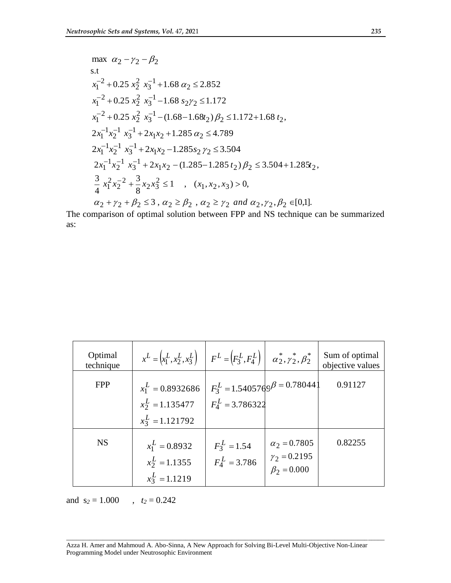max 
$$
\alpha_2 - \gamma_2 - \beta_2
$$
  
\ns.t  
\n $x_1^{-2} + 0.25 x_2^2 x_3^{-1} + 1.68 \alpha_2 \le 2.852$   
\n $x_1^{-2} + 0.25 x_2^2 x_3^{-1} - 1.68 s_2 \gamma_2 \le 1.172$   
\n $x_1^{-2} + 0.25 x_2^2 x_3^{-1} - (1.68 - 1.68t_2) \beta_2 \le 1.172 + 1.68 t_2$ ,  
\n $2x_1^{-1} x_2^{-1} x_3^{-1} + 2x_1 x_2 + 1.285 \alpha_2 \le 4.789$   
\n $2x_1^{-1} x_2^{-1} x_3^{-1} + 2x_1 x_2 - 1.285 s_2 \gamma_2 \le 3.504$   
\n $2x_1^{-1} x_2^{-1} x_3^{-1} + 2x_1 x_2 - (1.285 - 1.285 t_2) \beta_2 \le 3.504 + 1.285t_2$ ,  
\n $\frac{3}{4} x_1^2 x_2^{-2} + \frac{3}{8} x_2 x_3^2 \le 1$ ,  $(x_1, x_2, x_3) > 0$ ,  
\n $\alpha_2 + \gamma_2 + \beta_2 \le 3$ ,  $\alpha_2 \ge \beta_2$ ,  $\alpha_2 \ge \gamma_2$  and  $\alpha_2, \gamma_2, \beta_2 \in [0,1]$ .

The comparison of optimal solution between FPP and NS technique can be summarized as:

| Optimal<br>technique | $x^{L} = (x_1^{L}, x_2^{L}, x_3^{L})$ $F^{L} = (F_3^{L}, F_4^{L})$ $\alpha_2^{*}, \gamma_2^{*}, \beta_2^{*}$ |                                      |                     | Sum of optimal<br>objective values |
|----------------------|--------------------------------------------------------------------------------------------------------------|--------------------------------------|---------------------|------------------------------------|
| <b>FPP</b>           | $x_1^L = 0.8932686$                                                                                          | $F_3^L = 1.5405769^\beta = 0.780441$ |                     | 0.91127                            |
|                      | $x_2^L = 1.135477$                                                                                           | $F_4^L = 3.786322$                   |                     |                                    |
|                      | $x_3^L = 1.121792$                                                                                           |                                      |                     |                                    |
| <b>NS</b>            | $x_1^L = 0.8932$                                                                                             | $F_3^L = 1.54$                       | $\alpha_2 = 0.7805$ | 0.82255                            |
|                      | $x_2^L = 1.1355$                                                                                             | $F_4^L = 3.786$                      | $\gamma_2 = 0.2195$ |                                    |
|                      | $x_3^L = 1.1219$                                                                                             |                                      | $\beta_2 = 0.000$   |                                    |

and  $s_2 = 1.000$ ,  $t_2 = 0.242$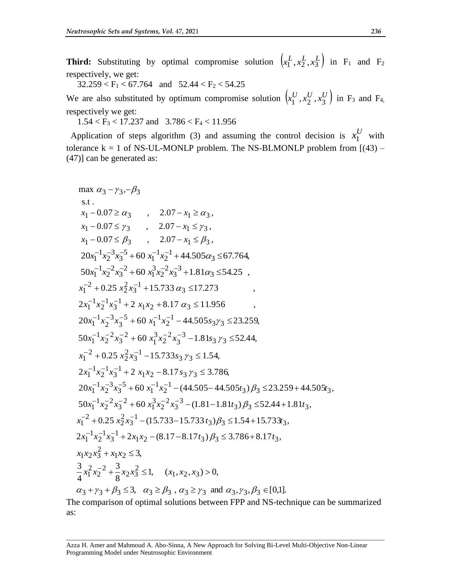**Third:** Substituting by optimal compromise solution  $(x_1^L, x_2^L, x_3^L)$  in F<sub>1</sub> and F<sub>2</sub> respectively, we get:

 $32.259 < F_1 < 67.764$  and  $52.44 < F_2 < 54.25$ 

We are also substituted by optimum compromise solution  $\left(x_1^U, x_2^U, x_3^U\right)$  in F<sub>3</sub> and F<sub>4</sub>, respectively we get:

 $1.54 < F_3 < 17.237$  and  $3.786 < F_4 < 11.956$ 

Application of steps algorithm (3) and assuming the control decision is  $x_1^U$  with tolerance  $k = 1$  of NS-UL-MONLP problem. The NS-BLMONLP problem from  $[(43) -$ (47)] can be generated as:

max 
$$
\alpha_3 - \gamma_3, -\beta_3
$$
  
\ns.t.  
\n $x_1 - 0.07 \ge \alpha_3$ , 2.07 -  $x_1 \ge \alpha_3$ ,  
\n $x_1 - 0.07 \le \gamma_3$ , 2.07 -  $x_1 \le \gamma_3$ ,  
\n $x_1 - 0.07 \le \beta_3$ , 2.07 -  $x_1 \le \beta_3$ ,  
\n $20x_1^{-1}x_2^{-3}x_3^{-5} + 60x_1^{-1}x_2^{-1} + 44.505\alpha_3 \le 67.764$ ,  
\n $50x_1^{-1}x_2^{-2}x_3^{-2} + 60x_1^3x_2^{-2}x_3^{-3} + 1.81\alpha_3 \le 54.25$ ,  
\n $x_1^{-2} + 0.25x_2^2x_3^{-1} + 15.733 \alpha_3 \le 17.273$ ,  
\n $2x_1^{-1}x_2^{-1}x_3^{-1} + 2x_1x_2 + 8.17 \alpha_3 \le 11.956$ ,  
\n $20x_1^{-1}x_2^{-3}x_3^{-5} + 60x_1^{-1}x_2^{-1} - 44.505s_3\gamma_3 \le 23.259$ ,  
\n $50x_1^{-1}x_2^{-2}x_3^{-2} + 60x_1^3x_2^{-2}x_3^{-3} - 1.81s_3\gamma_3 \le 52.44$ ,  
\n $x_1^{-2} + 0.25x_2^2x_3^{-1} - 15.733s_3\gamma_3 \le 1.54$ ,  
\n $2x_1^{-1}x_2^{-1}x_3^{-1} + 2x_1x_2 - 8.17s_3\gamma_3 \le 3.786$ ,  
\n $20x_1^{-1}x_2^{-3}x_3^{-5} + 60x_1^{-1}x_2^{-1} - (44.505 - 44.505t_3)\beta_3 \le 23.259 + 44.505t_3$ ,  
\n $50x_1^{-1}x_2$ 

The comparison of optimal solutions between FPP and NS-technique can be summarized as: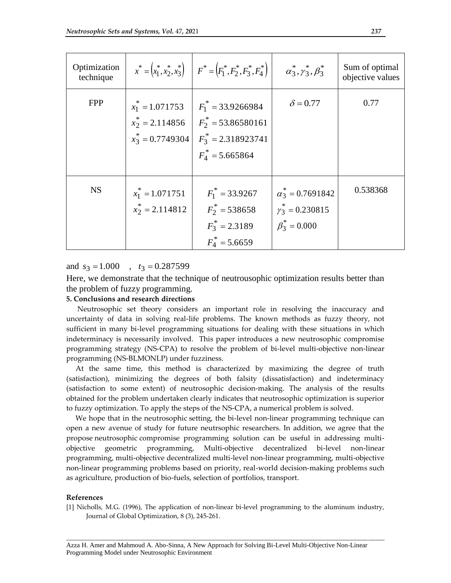| Optimization<br>technique |                                          | $x^* = (x_1^*, x_2^*, x_3^*)$ $F^* = (F_1^*, F_2^*, F_3^*, F_4^*)$ $\alpha_3^*, \gamma_3^*, \beta_3^*$                                           |                                                                            | Sum of optimal<br>objective values |
|---------------------------|------------------------------------------|--------------------------------------------------------------------------------------------------------------------------------------------------|----------------------------------------------------------------------------|------------------------------------|
| <b>FPP</b>                | $x_1^* = 1.071753$                       | $F_1^* = 33.9266984$<br>$x_2^* = 2.114856$ $F_2^* = 53.86580161$<br>$x_3^* = 0.7749304 \left  F_3^* = 2.318923741 \right $<br>$F_4^*$ = 5.665864 | $\delta$ = 0.77                                                            | 0.77                               |
| <b>NS</b>                 | $x_1^* = 1.071751$<br>$x_2^* = 2.114812$ | $F_1^* = 33.9267$<br>$F_2^*$ = 538658<br>$F_3^* = 2.3189$<br>$F_4^*$ = 5.6659                                                                    | $\alpha_3^* = 0.7691842$<br>$\gamma_3^* = 0.230815$<br>$\beta_3^* = 0.000$ | 0.538368                           |

and  $s_3 = 1.000$ ,  $t_3 = 0.287599$ 

Here, we demonstrate that the technique of neutrousophic optimization results better than the problem of fuzzy programming.

## **5. Conclusions and research directions**

 Neutrosophic set theory considers an important role in resolving the inaccuracy and uncertainty of data in solving real-life problems. The known methods as fuzzy theory, not sufficient in many bi-level programming situations for dealing with these situations in which indeterminacy is necessarily involved. This paper introduces a new neutrosophic compromise programming strategy (NS-CPA) to resolve the problem of bi-level multi-objective non-linear programming (NS-BLMONLP) under fuzziness.

 At the same time, this method is characterized by maximizing the degree of truth (satisfaction), minimizing the degrees of both falsity (dissatisfaction) and indeterminacy (satisfaction to some extent) of neutrosophic decision-making. The analysis of the results obtained for the problem undertaken clearly indicates that neutrosophic optimization is superior to fuzzy optimization. To apply the steps of the NS-CPA, a numerical problem is solved.

 We hope that in the neutrosophic setting, the bi-level non-linear programming technique can open a new avenue of study for future neutrsophic researchers. In addition, we agree that the propose neutrosophic compromise programming solution can be useful in addressing multiobjective geometric programming, Multi-objective decentralized bi-level non-linear programming, multi-objective decentralized multi-level non-linear programming, multi-objective non-linear programming problems based on priority, real-world decision-making problems such as agriculture, production of bio-fuels, selection of portfolios, transport.

#### **References**

[1] Nicholls, M.G. (1996), The application of non-linear bi-level programming to the aluminum industry, Journal of Global Optimization, 8 (3), 245-261.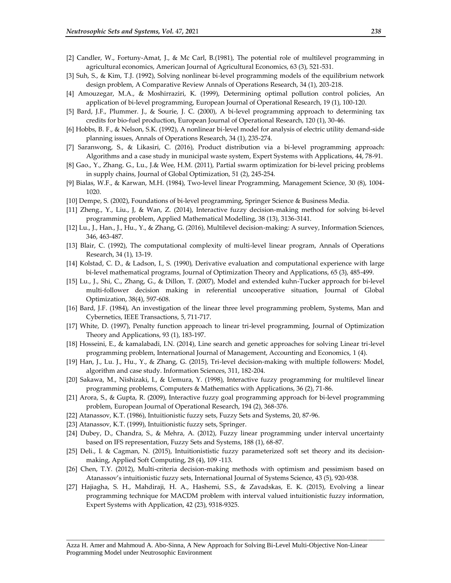- [2] Candler, W., Fortuny-Amat, J., & Mc Carl, B.(1981), The potential role of multilevel programming in agricultural economics, American Journal of Agricultural Economics, 63 (3), 521-531.
- [3] Suh, S., & Kim, T.J. (1992), Solving nonlinear bi-level programming models of the equilibrium network design problem, A Comparative Review Annals of Operations Research, 34 (1), 203-218.
- [4] Amouzegar, M.A., & Moshirraziri, K. (1999), Determining optimal pollution control policies, An application of bi-level programming, European Journal of Operational Research, 19 (1), 100-120.
- [5] Bard, J.F., Plummer. J., & Sourie, J. C. (2000), A bi-level programming approach to determining tax credits for bio-fuel production, European Journal of Operational Research, 120 (1), 30-46.
- [6] Hobbs, B. F., & Nelson, S.K. (1992), A nonlinear bi-level model for analysis of electric utility demand-side planning issues, Annals of Operations Research, 34 (1), 235-274.
- [7] Saranwong, S., & Likasiri, C. (2016), Product distribution via a bi-level programming approach: Algorithms and a case study in municipal waste system, Expert Systems with Applications, 44, 78-91.
- [8] Gao., Y., Zhang. G., Lu., J.& Wee, H.M. (2011), Partial swarm optimization for bi-level pricing problems in supply chains, Journal of Global Optimization, 51 (2), 245-254.
- [9] Bialas, W.F., & Karwan, M.H. (1984), Two-level linear Programming, Management Science, 30 (8), 1004- 1020.
- [10] Dempe, S. (2002), Foundations of bi-level programming, Springer Science & Business Media.
- [11] Zheng., Y., Liu., J, & Wan, Z. (2014), Interactive fuzzy decision-making method for solving bi-level programming problem, Applied Mathematical Modelling, 38 (13), 3136-3141.
- [12] Lu., J., Han., J., Hu., Y., & Zhang, G. (2016), Multilevel decision-making: A survey, Information Sciences, 346, 463-487.
- [13] Blair, C. (1992), The computational complexity of multi-level linear program, Annals of Operations Research, 34 (1), 13-19.
- [14] Kolstad, C. D., & Ladson, I., S. (1990), Derivative evaluation and computational experience with large bi-level mathematical programs, Journal of Optimization Theory and Applications, 65 (3), 485-499.
- [15] Lu., J., Shi, C., Zhang, G., & Dillon, T. (2007), Model and extended kuhn-Tucker approach for bi-level multi-follower decision making in referential uncooperative situation, Journal of Global Optimization, 38(4), 597-608.
- [16] Bard, J.F. (1984), An investigation of the linear three level programming problem, Systems, Man and Cybernetics, IEEE Transactions, 5, 711-717.
- [17] White, D. (1997), Penalty function approach to linear tri-level programming, Journal of Optimization Theory and Applications, 93 (1), 183-197.
- [18] Hosseini, E., & kamalabadi, I.N. (2014), Line search and genetic approaches for solving Linear tri-level programming problem, International Journal of Management, Accounting and Economics, 1 (4).
- [19] Han, J., Lu. J., Hu., Y., & Zhang, G. (2015), Tri-level decision-making with multiple followers: Model, algorithm and case study. Information Sciences, 311, 182-204.
- [20] Sakawa, M., Nishizaki, I., & Uemura, Y. (1998), Interactive fuzzy programming for multilevel linear programming problems, Computers & Mathematics with Applications, 36 (2), 71-86.
- [21] Arora, S., & Gupta, R. (2009), Interactive fuzzy goal programming approach for bi-level programming problem, European Journal of Operational Research, 194 (2), 368-376.
- [22] Atanassov, K.T. (1986), Intuitionistic fuzzy sets, Fuzzy Sets and Systems, 20, 87-96.
- [23] Atanassov, K.T. (1999), Intuitionistic fuzzy sets, Springer.
- [24] Dubey, D., Chandra, S., & Mehra, A. (2012), Fuzzy linear programming under interval uncertainty based on IFS representation, Fuzzy Sets and Systems, 188 (1), 68-87.
- [25] Deli., I. & Cagman, N. (2015), Intuitionististic fuzzy parameterized soft set theory and its decisionmaking, Applied Soft Computing, 28 (4), 109 -113.
- [26] Chen, T.Y. (2012), Multi-criteria decision-making methods with optimism and pessimism based on Atanassov's intuitionistic fuzzy sets, International Journal of Systems Science, 43 (5), 920-938.
- [27] Hajiagha, S. H., Mahdiraji, H. A., Hashemi, S.S., & Zavadskas, E. K. (2015), Evolving a linear programming technique for MACDM problem with interval valued intuitionistic fuzzy information, Expert Systems with Application, 42 (23), 9318-9325.